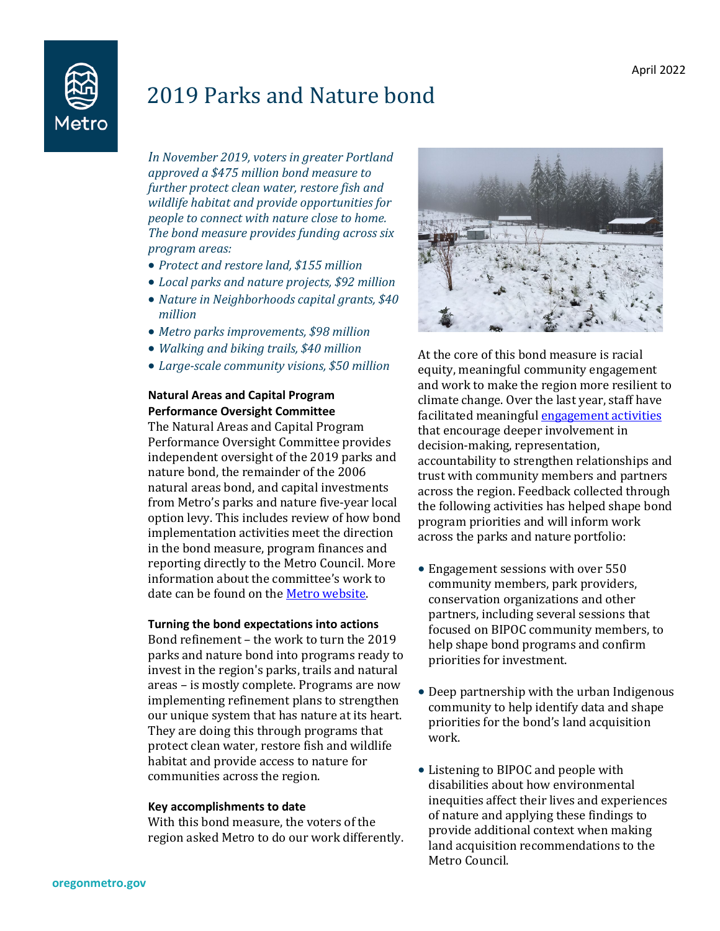

# 2019 Parks and Nature bond

*In November 2019, voters in greater Portland approved a \$475 million bond measure to further protect clean water, restore fish and wildlife habitat and provide opportunities for people to connect with nature close to home. The bond measure provides funding across six program areas:*

- *Protect and restore land, \$155 million*
- *Local parks and nature projects, \$92 million*
- *Nature in Neighborhoods capital grants, \$40 million*
- *Metro parks improvements, \$98 million*
- *Walking and biking trails, \$40 million*
- *Large-scale community visions, \$50 million*

### **Natural Areas and Capital Program Performance Oversight Committee**

The Natural Areas and Capital Program Performance Oversight Committee provides independent oversight of the 2019 parks and nature bond, the remainder of the 2006 natural areas bond, and capital investments from Metro's parks and nature five-year local option levy. This includes review of how bond implementation activities meet the direction in the bond measure, program finances and reporting directly to the Metro Council. More information about the committee's work to date can be found on th[e Metro website.](https://www.oregonmetro.gov/public-projects/parks-and-nature-investments/oversight)

### **Turning the bond expectations into actions**

Bond refinement – the work to turn the 2019 parks and nature bond into programs ready to invest in the region's parks, trails and natural areas – is mostly complete. Programs are now implementing refinement plans to strengthen our unique system that has nature at its heart. They are doing this through programs that protect clean water, restore fish and wildlife habitat and provide access to nature for communities across the region.

#### **Key accomplishments to date**

With this bond measure, the voters of the region asked Metro to do our work differently.



At the core of this bond measure is racial equity, meaningful community engagement and work to make the region more resilient to climate change. Over the last year, staff have facilitated meaningfu[l engagement activities](https://www.oregonmetro.gov/public-projects/parks-and-nature-bond-measure/community-engagement) that encourage deeper involvement in decision-making, representation, accountability to strengthen relationships and trust with community members and partners across the region. Feedback collected through the following activities has helped shape bond program priorities and will inform work across the parks and nature portfolio:

- Engagement sessions with over 550 community members, park providers, conservation organizations and other partners, including several sessions that focused on BIPOC community members, to help shape bond programs and confirm priorities for investment.
- Deep partnership with the urban Indigenous community to help identify data and shape priorities for the bond's land acquisition work.
- Listening to BIPOC and people with disabilities about how environmental inequities affect their lives and experiences of nature and applying these findings to provide additional context when making land acquisition recommendations to the Metro Council.